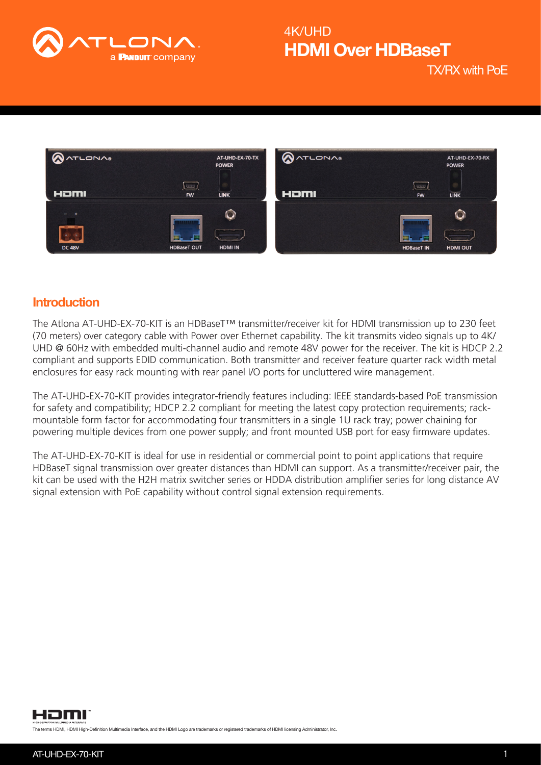

TX/RX with PoE



### **Introduction**

The Atlona AT-UHD-EX-70-KIT is an HDBaseT™ transmitter/receiver kit for HDMI transmission up to 230 feet (70 meters) over category cable with Power over Ethernet capability. The kit transmits video signals up to 4K/ UHD @ 60Hz with embedded multi-channel audio and remote 48V power for the receiver. The kit is HDCP 2.2 compliant and supports EDID communication. Both transmitter and receiver feature quarter rack width metal enclosures for easy rack mounting with rear panel I/O ports for uncluttered wire management.

The AT-UHD-EX-70-KIT provides integrator-friendly features including: IEEE standards-based PoE transmission for safety and compatibility; HDCP 2.2 compliant for meeting the latest copy protection requirements; rackmountable form factor for accommodating four transmitters in a single 1U rack tray; power chaining for powering multiple devices from one power supply; and front mounted USB port for easy firmware updates.

The AT-UHD-EX-70-KIT is ideal for use in residential or commercial point to point applications that require HDBaseT signal transmission over greater distances than HDMI can support. As a transmitter/receiver pair, the kit can be used with the H2H matrix switcher series or HDDA distribution amplifier series for long distance AV signal extension with PoE capability without control signal extension requirements.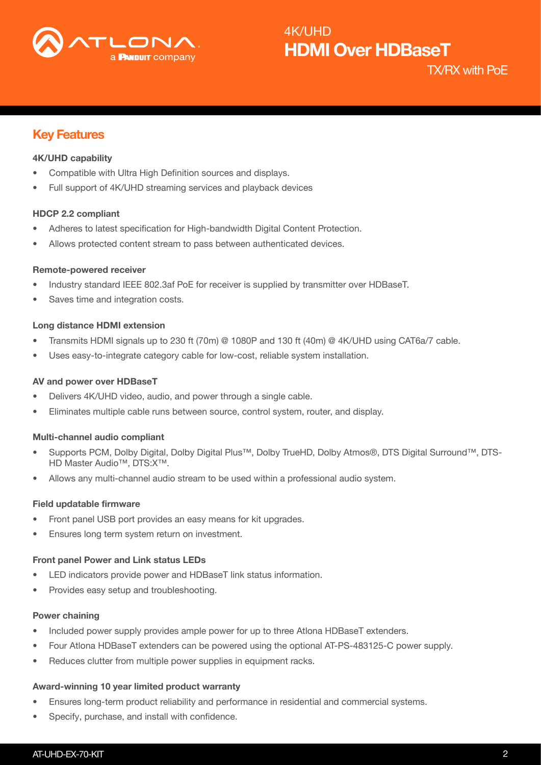

TX/RX with PoE

## Key Features

#### 4K/UHD capability

- Compatible with Ultra High Definition sources and displays.
- Full support of 4K/UHD streaming services and playback devices

#### HDCP 2.2 compliant

- Adheres to latest specification for High-bandwidth Digital Content Protection.
- Allows protected content stream to pass between authenticated devices.

#### Remote-powered receiver

- Industry standard IEEE 802.3af PoE for receiver is supplied by transmitter over HDBaseT.
- Saves time and integration costs.

#### Long distance HDMI extension

- Transmits HDMI signals up to 230 ft (70m) @ 1080P and 130 ft (40m) @ 4K/UHD using CAT6a/7 cable.
- Uses easy-to-integrate category cable for low-cost, reliable system installation.

#### AV and power over HDBaseT

- Delivers 4K/UHD video, audio, and power through a single cable.
- Eliminates multiple cable runs between source, control system, router, and display.

#### Multi-channel audio compliant

- Supports PCM, Dolby Digital, Dolby Digital Plus™, Dolby TrueHD, Dolby Atmos®, DTS Digital Surround™, DTS-HD Master Audio™, DTS:X™.
- Allows any multi-channel audio stream to be used within a professional audio system.

#### Field updatable firmware

- Front panel USB port provides an easy means for kit upgrades.
- Ensures long term system return on investment.

#### Front panel Power and Link status LEDs

- LED indicators provide power and HDBaseT link status information.
- Provides easy setup and troubleshooting.

#### Power chaining

- Included power supply provides ample power for up to three Atlona HDBaseT extenders.
- Four Atlona HDBaseT extenders can be powered using the optional AT-PS-483125-C power supply.
- Reduces clutter from multiple power supplies in equipment racks.

#### Award-winning 10 year limited product warranty

- Ensures long-term product reliability and performance in residential and commercial systems.
- Specify, purchase, and install with confidence.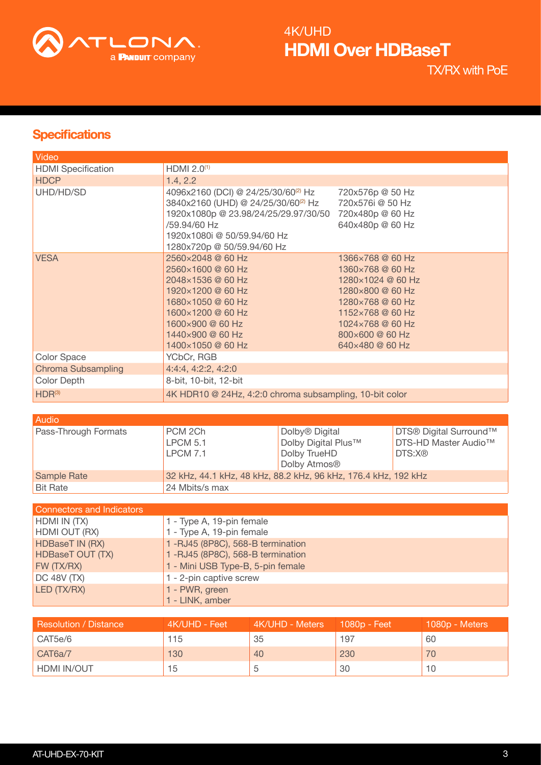

TX/RX with PoE

## **Specifications**

| Video                     |                                                                                                                                                                                                                         |                                                                                                                                                                                 |
|---------------------------|-------------------------------------------------------------------------------------------------------------------------------------------------------------------------------------------------------------------------|---------------------------------------------------------------------------------------------------------------------------------------------------------------------------------|
| <b>HDMI</b> Specification | HDMI 2.0 <sup>(1)</sup>                                                                                                                                                                                                 |                                                                                                                                                                                 |
| <b>HDCP</b>               | 1.4, 2.2                                                                                                                                                                                                                |                                                                                                                                                                                 |
| UHD/HD/SD                 | 4096x2160 (DCI) @ 24/25/30/60 <sup>(2)</sup> Hz<br>3840x2160 (UHD) @ 24/25/30/60 <sup>(2)</sup> Hz<br>1920x1080p @ 23.98/24/25/29.97/30/50<br>/59.94/60 Hz<br>1920x1080i @ 50/59.94/60 Hz<br>1280x720p @ 50/59.94/60 Hz | 720x576p @ 50 Hz<br>720x576i @ 50 Hz<br>720x480p @ 60 Hz<br>640x480p @ 60 Hz                                                                                                    |
| <b>VESA</b>               | 2560×2048 @ 60 Hz<br>2560×1600 @ 60 Hz<br>2048×1536 @ 60 Hz<br>1920×1200 @ 60 Hz<br>1680×1050 @ 60 Hz<br>1600×1200 @ 60 Hz<br>1600×900 @ 60 Hz<br>1440×900 @ 60 Hz<br>1400×1050 @ 60 Hz                                 | 1366×768 @ 60 Hz<br>1360×768 @ 60 Hz<br>1280×1024 @ 60 Hz<br>1280×800 @ 60 Hz<br>1280×768 @ 60 Hz<br>1152×768 @ 60 Hz<br>1024×768 @ 60 Hz<br>800×600 @ 60 Hz<br>640×480 @ 60 Hz |
| Color Space               | YCbCr, RGB                                                                                                                                                                                                              |                                                                                                                                                                                 |
| <b>Chroma Subsampling</b> | 4:4:4, 4:2:2, 4:2:0                                                                                                                                                                                                     |                                                                                                                                                                                 |
| Color Depth               | 8-bit, 10-bit, 12-bit                                                                                                                                                                                                   |                                                                                                                                                                                 |
| $HDR^{(3)}$               | 4K HDR10 @ 24Hz, 4:2:0 chroma subsampling, 10-bit color                                                                                                                                                                 |                                                                                                                                                                                 |

| <b>Audio</b>                |                                                                |                                                                                               |                                                                      |
|-----------------------------|----------------------------------------------------------------|-----------------------------------------------------------------------------------------------|----------------------------------------------------------------------|
| <b>Pass-Through Formats</b> | PCM 2Ch<br><b>LPCM 5.1</b><br><b>LPCM 7.1</b>                  | Dolby <sup>®</sup> Digital<br>Dolby Digital Plus™<br>Dolby TrueHD<br>Dolby Atmos <sup>®</sup> | DTS® Digital Surround™<br>DTS-HD Master Audio <sup>™</sup><br>DTS:X® |
| Sample Rate                 | 32 kHz, 44.1 kHz, 48 kHz, 88.2 kHz, 96 kHz, 176.4 kHz, 192 kHz |                                                                                               |                                                                      |
| <b>Bit Rate</b>             | 24 Mbits/s max                                                 |                                                                                               |                                                                      |

| <b>Connectors and Indicators</b> |                                   |
|----------------------------------|-----------------------------------|
| HDMI IN (TX)                     | 1 - Type A, 19-pin female         |
| HDMI OUT (RX)                    | 1 - Type A, 19-pin female         |
| <b>HDBaseT IN (RX)</b>           | 1-RJ45 (8P8C), 568-B termination  |
| <b>HDBaseT OUT (TX)</b>          | 1-RJ45 (8P8C), 568-B termination  |
| FW (TX/RX)                       | 1 - Mini USB Type-B, 5-pin female |
| $DC$ 48V $(TX)$                  | 1 - 2-pin captive screw           |
| <b>LED (TX/RX)</b>               | 1 - PWR, green                    |
|                                  | 1 - LINK, amber                   |

| <b>Resolution / Distance</b> | 4K/UHD - Feet | 4K/UHD - Meters | 1080p - Feet | 1080p - Meters |
|------------------------------|---------------|-----------------|--------------|----------------|
| CAT5e/6                      | 115           | 35              | 197          | 60             |
| CAT6a/7                      | 130           | 40              | 230          | 70             |
| HDMI IN/OUT                  | 15            |                 | 30           | 10             |